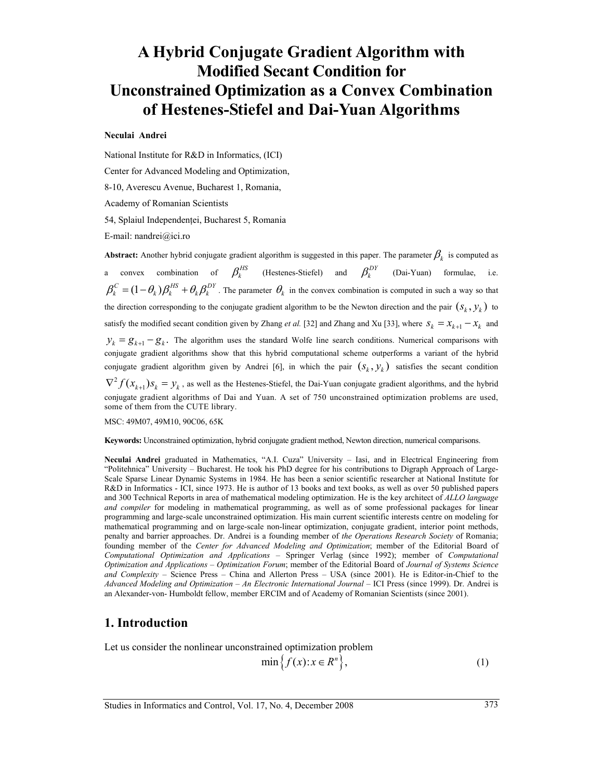# **A Hybrid Conjugate Gradient Algorithm with Modified Secant Condition for Unconstrained Optimization as a Convex Combination of Hestenes-Stiefel and Dai-Yuan Algorithms**

#### **Neculai Andrei**

National Institute for R&D in Informatics, (ICI)

Center for Advanced Modeling and Optimization,

8-10, Averescu Avenue, Bucharest 1, Romania,

Academy of Romanian Scientists

54, Splaiul Independenţei, Bucharest 5, Romania

E-mail: nandrei@ici.ro

**Abstract:** Another hybrid conjugate gradient algorithm is suggested in this paper. The parameter  $\beta_k$  is computed as a convex combination of  $\beta_k^{HS}$  (Hestenes-Stiefel) and  $\beta_k^{DY}$  (Dai-Yuan) formulae, i.e.  $\beta_k^C = (1 - \theta_k) \beta_k^{HS} + \theta_k \beta_k^{DY}$ . The parameter  $\theta_k$  in the convex combination is computed in such a way so that the direction corresponding to the conjugate gradient algorithm to be the Newton direction and the pair  $(s_k, y_k)$  to satisfy the modified secant condition given by Zhang *et al.* [32] and Zhang and Xu [33], where  $s_k = x_{k+1} - x_k$  and  $y_k = g_{k+1} - g_k$ . The algorithm uses the standard Wolfe line search conditions. Numerical comparisons with conjugate gradient algorithms show that this hybrid computational scheme outperforms a variant of the hybrid conjugate gradient algorithm given by Andrei [6], in which the pair  $(S_k, y_k)$  satisfies the secant condition  $\nabla^2 f(x_{k+1}) s_k = y_k$ , as well as the Hestenes-Stiefel, the Dai-Yuan conjugate gradient algorithms, and the hybrid conjugate gradient algorithms of Dai and Yuan. A set of 750 unconstrained optimization problems are used, some of them from the CUTE library.

MSC: 49M07, 49M10, 90C06, 65K

**Keywords:** Unconstrained optimization, hybrid conjugate gradient method, Newton direction, numerical comparisons.

**Neculai Andrei** graduated in Mathematics, "A.I. Cuza" University – Iasi, and in Electrical Engineering from "Politehnica" University – Bucharest. He took his PhD degree for his contributions to Digraph Approach of Large-Scale Sparse Linear Dynamic Systems in 1984. He has been a senior scientific researcher at National Institute for R&D in Informatics - ICI, since 1973. He is author of 13 books and text books, as well as over 50 published papers and 300 Technical Reports in area of mathematical modeling optimization. He is the key architect of *ALLO language and compiler* for modeling in mathematical programming, as well as of some professional packages for linear programming and large-scale unconstrained optimization. His main current scientific interests centre on modeling for mathematical programming and on large-scale non-linear optimization, conjugate gradient, interior point methods, penalty and barrier approaches. Dr. Andrei is a founding member of *the Operations Research Society* of Romania; founding member of the *Center for Advanced Modeling and Optimization*; member of the Editorial Board of *Computational Optimization and Applications* – Springer Verlag (since 1992); member of *Computational Optimization and Applications – Optimization Forum*; member of the Editorial Board of *Journal of Systems Science and Complexity* – Science Press – China and Allerton Press – USA (since 2001). He is Editor-in-Chief to the *Advanced Modeling and Optimization – An Electronic International Journal* – ICI Press (since 1999). Dr. Andrei is an Alexander-von- Humboldt fellow, member ERCIM and of Academy of Romanian Scientists (since 2001).

#### **1. Introduction**

Let us consider the nonlinear unconstrained optimization problem

$$
\min\left\{f(x):x\in R^n\right\},\tag{1}
$$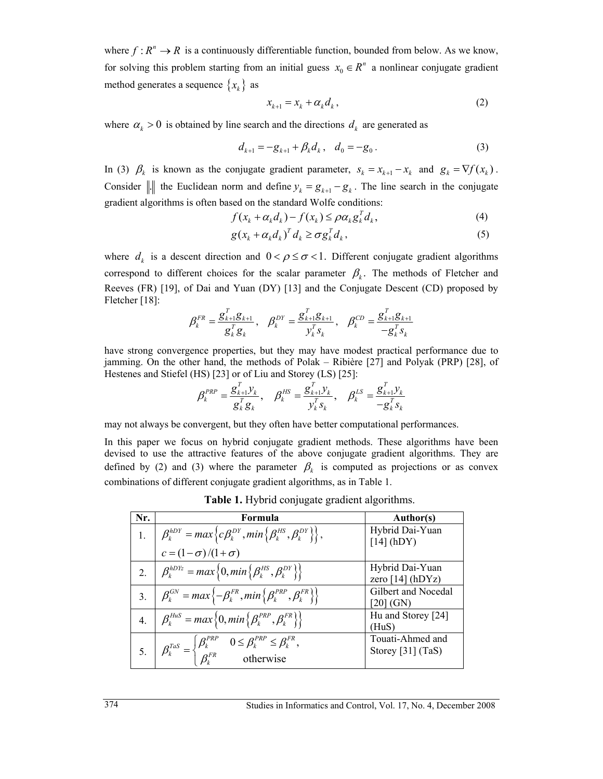where  $f : R^n \to R$  is a continuously differentiable function, bounded from below. As we know, for solving this problem starting from an initial guess  $x_0 \in R^n$  a nonlinear conjugate gradient method generates a sequence  $\{x_k\}$  as

$$
x_{k+1} = x_k + \alpha_k d_k, \qquad (2)
$$

where  $\alpha_k > 0$  is obtained by line search and the directions  $d_k$  are generated as

$$
d_{k+1} = -g_{k+1} + \beta_k d_k, \quad d_0 = -g_0.
$$
 (3)

In (3)  $\beta_k$  is known as the conjugate gradient parameter,  $s_k = x_{k+1} - x_k$  and  $g_k = \nabla f(x_k)$ . Consider || the Euclidean norm and define  $y_k = g_{k+1} - g_k$ . The line search in the conjugate gradient algorithms is often based on the standard Wolfe conditions:

$$
f(x_k + \alpha_k d_k) - f(x_k) \leq \rho \alpha_k g_k^T d_k, \qquad (4)
$$

$$
g(x_k + \alpha_k d_k)^T d_k \ge \sigma g_k^T d_k, \qquad (5)
$$

where  $d_k$  is a descent direction and  $0 < \rho \le \sigma < 1$ . Different conjugate gradient algorithms correspond to different choices for the scalar parameter  $\beta_k$ . The methods of Fletcher and Reeves (FR) [19], of Dai and Yuan (DY) [13] and the Conjugate Descent (CD) proposed by Fletcher [18]:

$$
\beta_k^{FR} = \frac{g_{k+1}^T g_{k+1}}{g_k^T g_k}, \quad \beta_k^{DY} = \frac{g_{k+1}^T g_{k+1}}{y_k^T s_k}, \quad \beta_k^{CD} = \frac{g_{k+1}^T g_{k+1}}{-g_k^T s_k}
$$

have strong convergence properties, but they may have modest practical performance due to jamming. On the other hand, the methods of Polak – Ribière [27] and Polyak (PRP) [28], of Hestenes and Stiefel (HS) [23] or of Liu and Storey (LS) [25]:

$$
\beta_k^{PRP} = \frac{g_{k+1}^T y_k}{g_k^T g_k}, \quad \beta_k^{HS} = \frac{g_{k+1}^T y_k}{y_k^T s_k}, \quad \beta_k^{LS} = \frac{g_{k+1}^T y_k}{-g_k^T s_k}
$$

may not always be convergent, but they often have better computational performances.

In this paper we focus on hybrid conjugate gradient methods. These algorithms have been devised to use the attractive features of the above conjugate gradient algorithms. They are defined by (2) and (3) where the parameter  $\beta_k$  is computed as projections or as convex combinations of different conjugate gradient algorithms, as in Table 1.

**Table 1.** Hybrid conjugate gradient algorithms.

| Nr.              | Formula                                                                                                                                     | <b>Author(s)</b>                      |
|------------------|---------------------------------------------------------------------------------------------------------------------------------------------|---------------------------------------|
|                  | 1. $\beta_k^{hDY} = max \left\{ c\beta_k^{DY}, min \left\{ \beta_k^{HS}, \beta_k^{DY} \right\} \right\},$                                   | Hybrid Dai-Yuan<br>$[14]$ (hDY)       |
|                  | $c = (1 - \sigma)/(1 + \sigma)$                                                                                                             |                                       |
| 2.               | $\beta_k^{hDYz} = max\left\{0, min\left\{\beta_k^{HS}, \beta_k^{DY}\right\}\right\}$                                                        | Hybrid Dai-Yuan<br>zero $[14]$ (hDYz) |
| 3.               | $\beta_k^{GN} = max \{-\beta_k^{FR}, min\{\beta_k^{PRP}, \beta_k^{FR}\}\}$                                                                  | Gilbert and Nocedal<br>[20] (GN)      |
| $\overline{4}$ . | $\beta_k^{HuS} = max \left\{ 0, min \left\{ \beta_k^{PRP}, \beta_k^{FR} \right\} \right\}$                                                  | Hu and Storey [24]<br>(HuS)           |
|                  | 5. $\beta_k^{T a S} = \begin{cases} \beta_k^{PRP} & 0 \leq \beta_k^{PRP} \leq \beta_k^{FR}, \\ \beta_k^{FR} & \text{otherwise} \end{cases}$ | Touati-Ahmed and<br>Storey [31] (TaS) |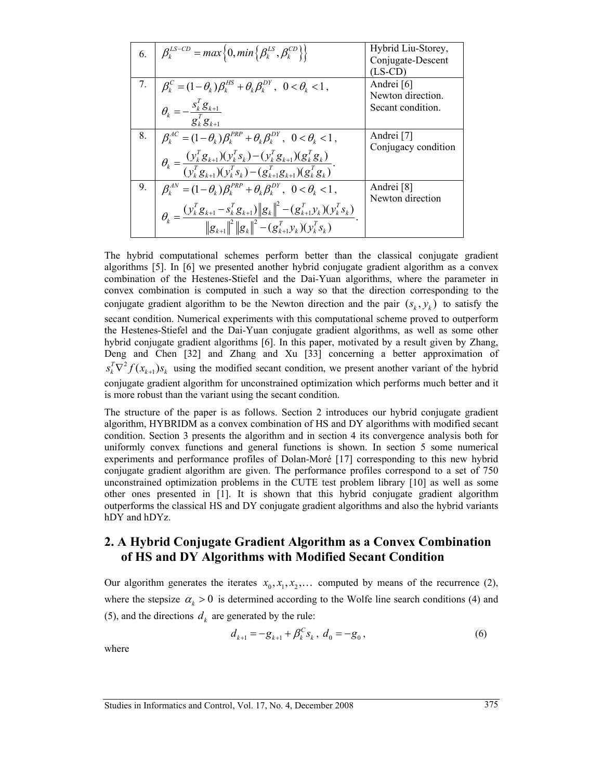|    | 6. $\beta_k^{LS-CD} = max \left\{ 0, min \left\{ \beta_k^{LS}, \beta_k^{CD} \right\} \right\}$                                                                                                                                                                                                                                                | Hybrid Liu-Storey,<br>Conjugate-Descent<br>$(LS-CD)$ |
|----|-----------------------------------------------------------------------------------------------------------------------------------------------------------------------------------------------------------------------------------------------------------------------------------------------------------------------------------------------|------------------------------------------------------|
| 7. | $\beta_k^C = (1-\theta_k)\beta_k^{HS} + \theta_k\beta_k^{DY}, \quad 0 < \theta_k < 1,$                                                                                                                                                                                                                                                        | Andrei [6]<br>Newton direction.                      |
|    | $\theta_k = -\frac{s_k^T g_{k+1}}{g_k^T g_{k+1}}$                                                                                                                                                                                                                                                                                             | Secant condition.                                    |
| 8. | $\beta_{\iota}^{AC} = (1 - \theta_{\iota})\beta_{\iota}^{PRP} + \theta_{\iota}\beta_{\iota}^{DY}, \ \ 0 < \theta_{\iota} < 1,$                                                                                                                                                                                                                | Andrei [7]                                           |
|    | $\theta_k = \frac{(y_k^T g_{k+1})(y_k^T s_k) - (y_k^T g_{k+1})(g_k^T g_k)}{(y_k^T g_{k+1})(y_k^T s_k) - (g_{k+1}^T g_{k+1})(g_k^T g_k)}.$                                                                                                                                                                                                     | Conjugacy condition                                  |
| 9. | $\beta_{\iota}^{AN} = (1-\theta_{\iota})\beta_{\iota}^{PRP} + \theta_{\iota}\beta_{\iota}^{DY}, \quad 0 < \theta_{\iota} < 1,$                                                                                                                                                                                                                | Andrei [8]<br>Newton direction                       |
|    | $\theta_k = \frac{(\boldsymbol{y}_k^T\boldsymbol{g}_{k+1} - \boldsymbol{s}_k^T\boldsymbol{g}_{k+1})\ \boldsymbol{g}_k\ ^2 - (\boldsymbol{g}_{k+1}^T\boldsymbol{y}_k)(\boldsymbol{y}_k^T\boldsymbol{s}_k)}{\ \boldsymbol{g}_{k+1}\ ^2 \ \boldsymbol{g}_k\ ^2 - (\boldsymbol{g}_{k+1}^T\boldsymbol{y}_k)(\boldsymbol{y}_k^T\boldsymbol{s}_k)}.$ |                                                      |

The hybrid computational schemes perform better than the classical conjugate gradient algorithms [5]. In [6] we presented another hybrid conjugate gradient algorithm as a convex combination of the Hestenes-Stiefel and the Dai-Yuan algorithms, where the parameter in convex combination is computed in such a way so that the direction corresponding to the conjugate gradient algorithm to be the Newton direction and the pair  $(s_k, y_k)$  to satisfy the secant condition. Numerical experiments with this computational scheme proved to outperform the Hestenes-Stiefel and the Dai-Yuan conjugate gradient algorithms, as well as some other hybrid conjugate gradient algorithms [6]. In this paper, motivated by a result given by Zhang, Deng and Chen [32] and Zhang and Xu [33] concerning a better approximation of  $s_k^T \nabla^2 f(x_{k+1}) s_k$  using the modified secant condition, we present another variant of the hybrid conjugate gradient algorithm for unconstrained optimization which performs much better and it is more robust than the variant using the secant condition.

The structure of the paper is as follows. Section 2 introduces our hybrid conjugate gradient algorithm, HYBRIDM as a convex combination of HS and DY algorithms with modified secant condition. Section 3 presents the algorithm and in section 4 its convergence analysis both for uniformly convex functions and general functions is shown. In section 5 some numerical experiments and performance profiles of Dolan-Moré [17] corresponding to this new hybrid conjugate gradient algorithm are given. The performance profiles correspond to a set of 750 unconstrained optimization problems in the CUTE test problem library [10] as well as some other ones presented in [1]. It is shown that this hybrid conjugate gradient algorithm outperforms the classical HS and DY conjugate gradient algorithms and also the hybrid variants hDY and hDYz.

## **2. A Hybrid Conjugate Gradient Algorithm as a Convex Combination of HS and DY Algorithms with Modified Secant Condition**

Our algorithm generates the iterates  $x_0, x_1, x_2, \ldots$  computed by means of the recurrence (2), where the stepsize  $\alpha_k > 0$  is determined according to the Wolfe line search conditions (4) and (5), and the directions  $d_k$  are generated by the rule:

$$
d_{k+1} = -g_{k+1} + \beta_k^C s_k, \ d_0 = -g_0, \tag{6}
$$

where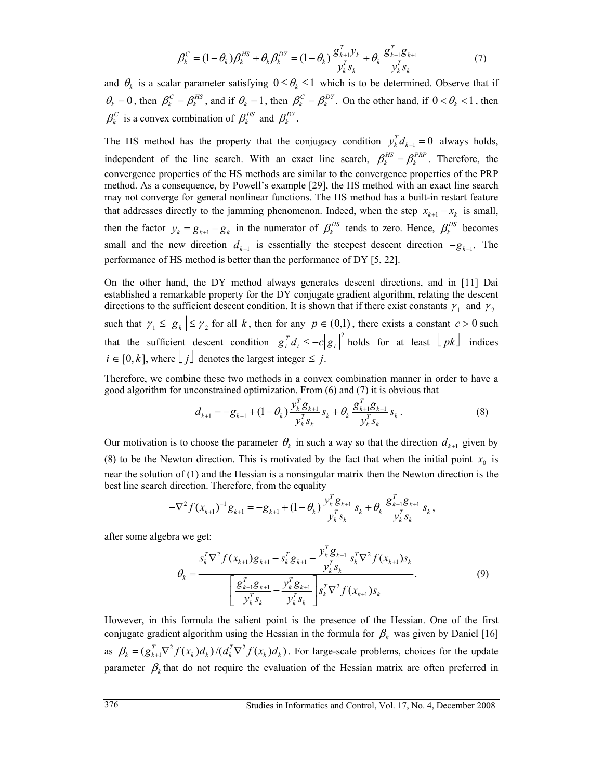$$
\beta_k^C = (1 - \theta_k) \beta_k^{HS} + \theta_k \beta_k^{DY} = (1 - \theta_k) \frac{\mathcal{S}_{k+1}^T \mathcal{Y}_k}{\mathcal{Y}_k^T \mathcal{S}_k} + \theta_k \frac{\mathcal{S}_{k+1}^T \mathcal{S}_{k+1}}{\mathcal{Y}_k^T \mathcal{S}_k}
$$
(7)

and  $\theta_k$  is a scalar parameter satisfying  $0 \le \theta_k \le 1$  which is to be determined. Observe that if  $\theta_k = 0$ , then  $\beta_k^C = \beta_k^{HS}$ , and if  $\theta_k = 1$ , then  $\beta_k^C = \beta_k^{DY}$ . On the other hand, if  $0 < \theta_k < 1$ , then  $\beta_k^C$  is a convex combination of  $\beta_k^{HS}$  and  $\beta_k^{DY}$ .

The HS method has the property that the conjugacy condition  $y_k^T d_{k+1} = 0$  always holds, independent of the line search. With an exact line search,  $\beta_k^{HS} = \beta_k^{PRP}$ . Therefore, the convergence properties of the HS methods are similar to the convergence properties of the PRP method. As a consequence, by Powell's example [29], the HS method with an exact line search may not converge for general nonlinear functions. The HS method has a built-in restart feature that addresses directly to the jamming phenomenon. Indeed, when the step  $x_{k+1} - x_k$  is small, then the factor  $y_k = g_{k+1} - g_k$  in the numerator of  $\beta_k^{HS}$  tends to zero. Hence,  $\beta_k^{HS}$  becomes small and the new direction  $d_{k+1}$  is essentially the steepest descent direction  $-g_{k+1}$ . The performance of HS method is better than the performance of DY [5, 22].

On the other hand, the DY method always generates descent directions, and in [11] Dai established a remarkable property for the DY conjugate gradient algorithm, relating the descent directions to the sufficient descent condition. It is shown that if there exist constants  $\gamma_1$  and  $\gamma_2$ such that  $\gamma_1 \leq ||g_k|| \leq \gamma_2$  for all *k*, then for any  $p \in (0,1)$ , there exists a constant  $c > 0$  such that the sufficient descent condition  $g_i^T d_i \leq -c ||g_i||^2$  holds for at least  $\lfloor pk \rfloor$  indices  $i \in [0, k]$ , where  $\lfloor j \rfloor$  denotes the largest integer  $\leq j$ .

Therefore, we combine these two methods in a convex combination manner in order to have a good algorithm for unconstrained optimization. From (6) and (7) it is obvious that

$$
d_{k+1} = -g_{k+1} + (1 - \theta_k) \frac{y_k^T g_{k+1}}{y_k^T s_k} s_k + \theta_k \frac{g_{k+1}^T g_{k+1}}{y_k^T s_k} s_k.
$$
 (8)

Our motivation is to choose the parameter  $\theta_k$  in such a way so that the direction  $d_{k+1}$  given by (8) to be the Newton direction. This is motivated by the fact that when the initial point  $x_0$  is near the solution of (1) and the Hessian is a nonsingular matrix then the Newton direction is the best line search direction. Therefore, from the equality

$$
-\nabla^2 f(x_{k+1})^{-1} g_{k+1} = -g_{k+1} + (1-\theta_k) \frac{y_k^T g_{k+1}}{y_k^T s_k} s_k + \theta_k \frac{g_{k+1}^T g_{k+1}}{y_k^T s_k} s_k,
$$

after some algebra we get:

$$
\theta_{k} = \frac{s_{k}^{T} \nabla^{2} f(x_{k+1}) g_{k+1} - s_{k}^{T} g_{k+1} - \frac{y_{k}^{T} g_{k+1}}{y_{k}^{T} s_{k}} s_{k}^{T} \nabla^{2} f(x_{k+1}) s_{k}}{\left[\frac{g_{k+1}^{T} g_{k+1}}{y_{k}^{T} s_{k}} - \frac{y_{k}^{T} g_{k+1}}{y_{k}^{T} s_{k}}\right] s_{k}^{T} \nabla^{2} f(x_{k+1}) s_{k}}.
$$
\n(9)

However, in this formula the salient point is the presence of the Hessian. One of the first conjugate gradient algorithm using the Hessian in the formula for  $\beta_k$  was given by Daniel [16] as  $\beta_k = (g_{k+1}^T \nabla^2 f(x_k) d_k) / (d_k^T \nabla^2 f(x_k) d_k)$ . For large-scale problems, choices for the update parameter  $\beta_k$  that do not require the evaluation of the Hessian matrix are often preferred in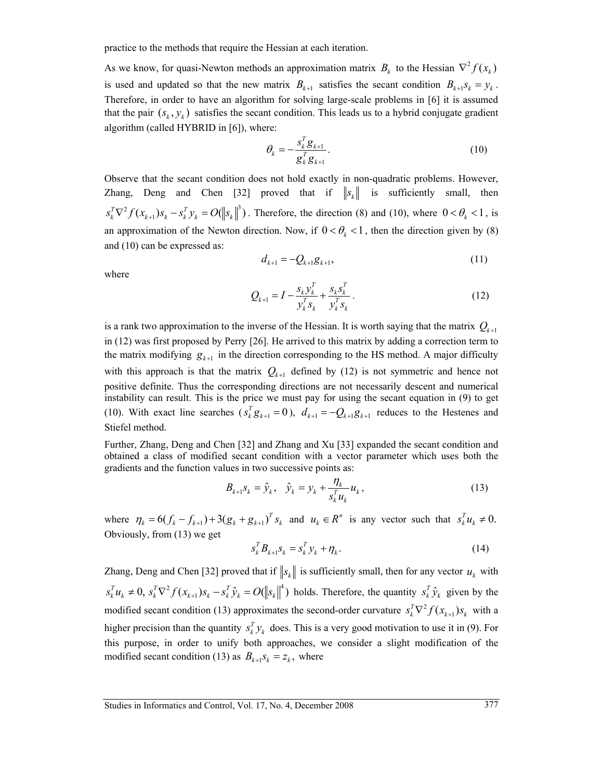practice to the methods that require the Hessian at each iteration.

As we know, for quasi-Newton methods an approximation matrix  $B_k$  to the Hessian  $\nabla^2 f(x_k)$ is used and updated so that the new matrix  $B_{k+1}$  satisfies the secant condition  $B_{k+1}S_k = y_k$ . Therefore, in order to have an algorithm for solving large-scale problems in [6] it is assumed that the pair  $(s_k, y_k)$  satisfies the secant condition. This leads us to a hybrid conjugate gradient algorithm (called HYBRID in [6]), where:

$$
\theta_k = -\frac{s_k^T g_{k+1}}{g_k^T g_{k+1}}.\tag{10}
$$

Observe that the secant condition does not hold exactly in non-quadratic problems. However, Zhang, Deng and Chen [32] proved that if  $||s_k||$  is sufficiently small, then  $s_k^T \nabla^2 f(x_{k+1}) s_k - s_k^T y_k = O(\left\| s_k \right\|^3)$ . Therefore, the direction (8) and (10), where  $0 < \theta_k < 1$ , is an approximation of the Newton direction. Now, if  $0 < \theta_k < 1$ , then the direction given by (8) and (10) can be expressed as:

$$
d_{k+1} = -Q_{k+1}g_{k+1},\tag{11}
$$

where

$$
Q_{k+1} = I - \frac{s_k y_k^T}{y_k^T s_k} + \frac{s_k s_k^T}{y_k^T s_k}.
$$
 (12)

is a rank two approximation to the inverse of the Hessian. It is worth saying that the matrix  $Q_{k+1}$ in (12) was first proposed by Perry [26]. He arrived to this matrix by adding a correction term to the matrix modifying  $g_{k+1}$  in the direction corresponding to the HS method. A major difficulty with this approach is that the matrix  $Q_{k+1}$  defined by (12) is not symmetric and hence not positive definite. Thus the corresponding directions are not necessarily descent and numerical instability can result. This is the price we must pay for using the secant equation in (9) to get (10). With exact line searches  $(s_k^T g_{k+1} = 0)$ ,  $d_{k+1} = -Q_{k+1} g_{k+1}$  reduces to the Hestenes and Stiefel method.

Further, Zhang, Deng and Chen [32] and Zhang and Xu [33] expanded the secant condition and obtained a class of modified secant condition with a vector parameter which uses both the gradients and the function values in two successive points as:

$$
B_{k+1}S_k = \hat{\mathcal{Y}}_k, \quad \hat{\mathcal{Y}}_k = \mathcal{Y}_k + \frac{\eta_k}{s_k^T u_k} u_k, \tag{13}
$$

where  $\eta_k = 6(f_k - f_{k+1}) + 3(g_k + g_{k+1})^T s_k$  and  $u_k \in \mathbb{R}^n$  is any vector such that  $s_k^T u_k \neq 0$ . Obviously, from (13) we get

$$
s_k^T B_{k+1} s_k = s_k^T y_k + \eta_k. \tag{14}
$$

Zhang, Deng and Chen [32] proved that if  $||s_k||$  is sufficiently small, then for any vector  $u_k$  with  $s_k^T u_k \neq 0$ ,  $s_k^T \nabla^2 f(x_{k+1}) s_k - s_k^T \hat{y}_k = O(||s_k||^4)$  holds. Therefore, the quantity  $s_k^T \hat{y}_k$  given by the modified secant condition (13) approximates the second-order curvature  $s_k^T \nabla^2 f(x_{k+1}) s_k$  with a higher precision than the quantity  $s_k^T y_k$  does. This is a very good motivation to use it in (9). For this purpose, in order to unify both approaches, we consider a slight modification of the modified secant condition (13) as  $B_{k+1} s_k = z_k$ , where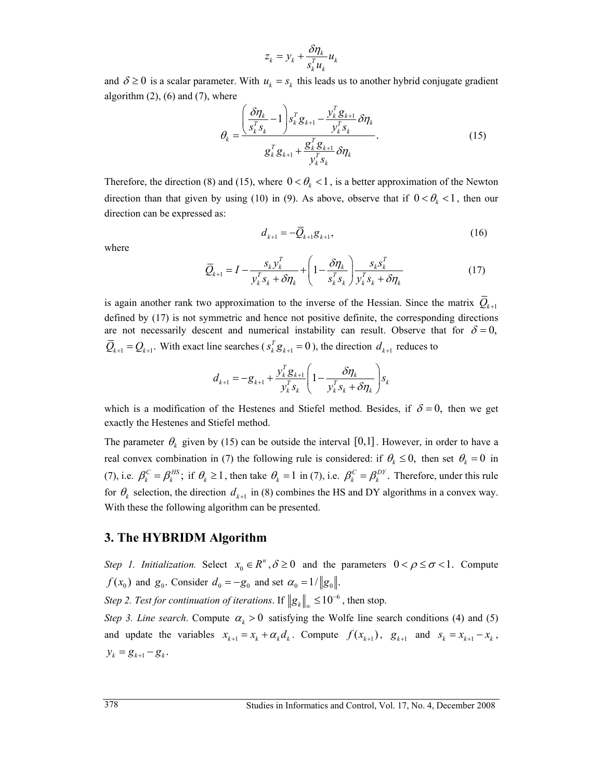$$
z_k = y_k + \frac{\delta \eta_k}{s_k^T u_k} u_k
$$

and  $\delta \ge 0$  is a scalar parameter. With  $u_k = s_k$  this leads us to another hybrid conjugate gradient algorithm  $(2)$ ,  $(6)$  and  $(7)$ , where

$$
\theta_k = \frac{\left(\frac{\delta \eta_k}{s_k^T s_k} - 1\right) s_k^T g_{k+1} - \frac{\mathcal{Y}_k^T g_{k+1}}{\mathcal{Y}_k^T s_k} \delta \eta_k}{g_k^T g_{k+1} + \frac{g_k^T g_{k+1}}{\mathcal{Y}_k^T s_k} \delta \eta_k}.
$$
\n(15)

Therefore, the direction (8) and (15), where  $0 < \theta_k < 1$ , is a better approximation of the Newton direction than that given by using (10) in (9). As above, observe that if  $0 < \theta_k < 1$ , then our direction can be expressed as:

$$
d_{k+1} = -Q_{k+1}g_{k+1},\tag{16}
$$

where

$$
\overline{Q}_{k+1} = I - \frac{s_k y_k^T}{y_k^T s_k + \delta \eta_k} + \left(1 - \frac{\delta \eta_k}{s_k^T s_k}\right) \frac{s_k s_k^T}{y_k^T s_k + \delta \eta_k}
$$
(17)

is again another rank two approximation to the inverse of the Hessian. Since the matrix  $\overline{Q}_{k+1}$ defined by (17) is not symmetric and hence not positive definite, the corresponding directions are not necessarily descent and numerical instability can result. Observe that for  $\delta = 0$ ,  $\overline{Q}_{k+1} = Q_{k+1}$ . With exact line searches ( $s_k^T g_{k+1} = 0$ ), the direction  $d_{k+1}$  reduces to

$$
d_{k+1} = -g_{k+1} + \frac{y_k^T g_{k+1}}{y_k^T s_k} \left(1 - \frac{\delta \eta_k}{y_k^T s_k + \delta \eta_k}\right) s_k
$$

which is a modification of the Hestenes and Stiefel method. Besides, if  $\delta = 0$ , then we get exactly the Hestenes and Stiefel method.

The parameter  $\theta_k$  given by (15) can be outside the interval [0,1]. However, in order to have a real convex combination in (7) the following rule is considered: if  $\theta_k \le 0$ , then set  $\theta_k = 0$  in (7), i.e.  $\beta_k^C = \beta_k^{HS}$ ; if  $\theta_k \ge 1$ , then take  $\theta_k = 1$  in (7), i.e.  $\beta_k^C = \beta_k^{DY}$ . Therefore, under this rule for  $\theta_k$  selection, the direction  $d_{k+1}$  in (8) combines the HS and DY algorithms in a convex way. With these the following algorithm can be presented.

#### **3. The HYBRIDM Algorithm**

*Step 1. Initialization.* Select  $x_0 \in R^n$ ,  $\delta \ge 0$  and the parameters  $0 < \rho \le \sigma < 1$ . Compute  $f(x_0)$  and  $g_0$ . Consider  $d_0 = -g_0$  and set  $\alpha_0 = 1/||g_0||$ .

*Step 2. Test for continuation of iterations. If*  $||g_k||_{\infty} \le 10^{-6}$ *, then stop.* 

*Step 3. Line search.* Compute  $\alpha_k > 0$  satisfying the Wolfe line search conditions (4) and (5) and update the variables  $x_{k+1} = x_k + \alpha_k d_k$ . Compute  $f(x_{k+1})$ ,  $g_{k+1}$  and  $s_k = x_{k+1} - x_k$ ,  $y_k = g_{k+1} - g_k$ .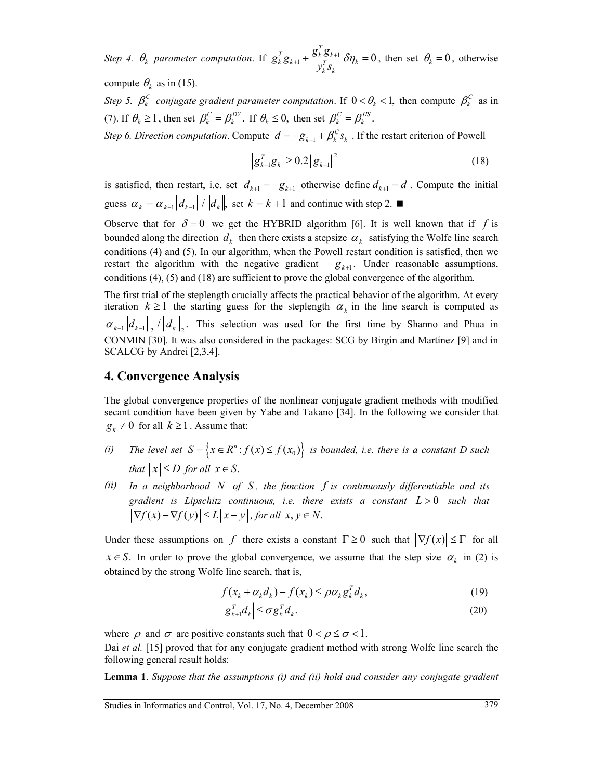*Step 4.*  $\theta_k$  parameter computation. If  $g_k^T g_{k+1} + \frac{\delta_k \delta_{k+1}}{\delta} \delta \eta_k = 0$  $\frac{d}{d}$ **z**<sub>*K*</sub>  $\frac{d}{dt}$  **F**<sub>*X*</sub>  $\frac{d}{dt}$  *F*<sub>*X*</sub> *F*<sub>*X*</sub> *f*<sub>*X*</sub> *f*<sub>*X*</sub> *f*<sub>*X*</sub> *f*<sub>*X*</sub> *f*<sub>*X*</sub> *f*<sub>*X*</sub> *f*<sub>*X*</sub> *f*<sub>*X*</sub> *f*<sub>*X*</sub> *f*<sub>*X*</sub> *f*<sub>*X*</sub> *f*<sub>*X*</sub> *f*<sub>*X*</sub> *f*<sub>*X*</sub> *f*<sub>*X*</sub> *f*<sub>*X*</sub> *f*<sub>*X*</sub> *f*  $g_k^T g_{k+1} + \frac{g_k^T g}{r}$  $y_k^Ts$  $\lambda_{+1} + \frac{\delta_k \delta_{k+1}}{\sigma_k} \delta \eta_k = 0$ , then set  $\theta_k = 0$ , otherwise

compute  $\theta_k$  as in (15).

*Step 5.*  $\beta_k^C$  *conjugate gradient parameter computation.* If  $0 < \theta_k < 1$ , then compute  $\beta_k^C$  as in (7). If  $\theta_k \ge 1$ , then set  $\beta_k^C = \beta_k^{DY}$ . If  $\theta_k \le 0$ , then set  $\beta_k^C = \beta_k^{HS}$ .

*Step 6. Direction computation.* Compute  $d = -g_{k+1} + \beta_k^C s_k$ . If the restart criterion of Powell

$$
\left| \mathbf{g}_{k+1}^T \mathbf{g}_k \right| \ge 0.2 \left\| \mathbf{g}_{k+1} \right\|^2 \tag{18}
$$

is satisfied, then restart, i.e. set  $d_{k+1} = -g_{k+1}$  otherwise define  $d_{k+1} = d$ . Compute the initial guess  $\alpha_k = \alpha_{k-1} ||d_{k-1}|| / ||d_k||$ , set  $k = k+1$  and continue with step 2.

Observe that for  $\delta = 0$  we get the HYBRID algorithm [6]. It is well known that if f is bounded along the direction  $d_k$  then there exists a stepsize  $\alpha_k$  satisfying the Wolfe line search conditions (4) and (5). In our algorithm, when the Powell restart condition is satisfied, then we restart the algorithm with the negative gradient  $-g_{k+1}$ . Under reasonable assumptions, conditions (4), (5) and (18) are sufficient to prove the global convergence of the algorithm.

The first trial of the steplength crucially affects the practical behavior of the algorithm. At every iteration  $k \ge 1$  the starting guess for the steplength  $\alpha_k$  in the line search is computed as  $\alpha_{k-1} ||d_{k-1}||$ ,  $||d_k||$ . This selection was used for the first time by Shanno and Phua in CONMIN [30]. It was also considered in the packages: SCG by Birgin and Martínez [9] and in SCALCG by Andrei [2,3,4].

#### **4. Convergence Analysis**

The global convergence properties of the nonlinear conjugate gradient methods with modified secant condition have been given by Yabe and Takano [34]. In the following we consider that  $g_k \neq 0$  for all  $k \geq 1$ . Assume that:

- *(i) The level set*  $S = \{x \in \mathbb{R}^n : f(x) \le f(x_0)\}$  *is bounded, i.e. there is a constant D such that*  $||x|| \le D$  *for all*  $x \in S$ .
- *(ii) In a neighborhood N of S , the function f is continuously differentiable and its gradient is Lipschitz continuous, i.e. there exists a constant L* > 0 *such that*   $\|\nabla f(x) - \nabla f(y)\| \le L \|x - y\|$ , for all  $x, y \in N$ .

Under these assumptions on *f* there exists a constant  $\Gamma \ge 0$  such that  $\|\nabla f(x)\| \le \Gamma$  for all  $x \in S$ . In order to prove the global convergence, we assume that the step size  $\alpha_k$  in (2) is obtained by the strong Wolfe line search, that is,

$$
f(x_k + \alpha_k d_k) - f(x_k) \leq \rho \alpha_k g_k^T d_k, \qquad (19)
$$

$$
\left| \mathbf{g}_{k+1}^T \mathbf{d}_k \right| \leq \sigma \mathbf{g}_k^T \mathbf{d}_k. \tag{20}
$$

where  $\rho$  and  $\sigma$  are positive constants such that  $0 < \rho \le \sigma < 1$ .

Dai *et al.* [15] proved that for any conjugate gradient method with strong Wolfe line search the following general result holds:

**Lemma 1**. *Suppose that the assumptions (i) and (ii) hold and consider any conjugate gradient*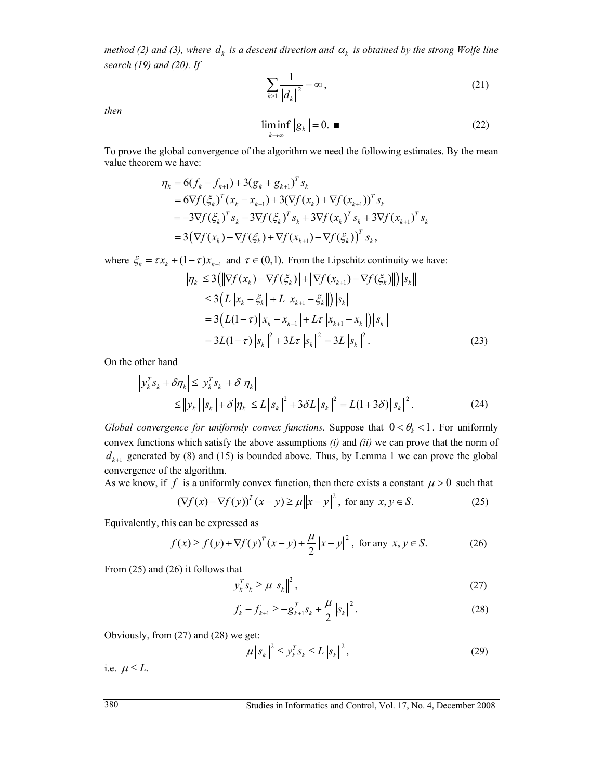*method (2) and (3), where*  $d_k$  *is a descent direction and*  $\alpha_k$  *is obtained by the strong Wolfe line search (19) and (20). If*

$$
\sum_{k\geq 1} \frac{1}{\left\|d_k\right\|^2} = \infty \,,\tag{21}
$$

*then* 

$$
\liminf_{k \to \infty} \|g_k\| = 0. \quad \blacksquare \tag{22}
$$

To prove the global convergence of the algorithm we need the following estimates. By the mean value theorem we have:

$$
\eta_{k} = 6(f_{k} - f_{k+1}) + 3(g_{k} + g_{k+1})^{T} s_{k}
$$
\n
$$
= 6\nabla f(\xi_{k})^{T} (x_{k} - x_{k+1}) + 3(\nabla f(x_{k}) + \nabla f(x_{k+1}))^{T} s_{k}
$$
\n
$$
= -3\nabla f(\xi_{k})^{T} s_{k} - 3\nabla f(\xi_{k})^{T} s_{k} + 3\nabla f(x_{k})^{T} s_{k} + 3\nabla f(x_{k+1})^{T} s_{k}
$$
\n
$$
= 3(\nabla f(x_{k}) - \nabla f(\xi_{k}) + \nabla f(x_{k+1}) - \nabla f(\xi_{k}))^{T} s_{k},
$$

where  $\xi_k = \tau x_k + (1 - \tau) x_{k+1}$  and  $\tau \in (0,1)$ . From the Lipschitz continuity we have:

$$
\begin{aligned} |\eta_k| &\le 3\left(\|\nabla f(x_k) - \nabla f(\xi_k)\| + \|\nabla f(x_{k+1}) - \nabla f(\xi_k)\| \right) \|s_k\| \\ &\le 3\left( L \|x_k - \xi_k\| + L \|x_{k+1} - \xi_k\| \right) \|s_k\| \\ &= 3\left( L(1-\tau) \|x_k - x_{k+1}\| + L\tau \|x_{k+1} - x_k\| \right) \|s_k\| \\ &= 3L(1-\tau) \|s_k\|^2 + 3L\tau \|s_k\|^2 = 3L \|s_k\|^2. \end{aligned} \tag{23}
$$

On the other hand

$$
\left| y_k^T s_k + \delta \eta_k \right| \le \left| y_k^T s_k \right| + \delta \left| \eta_k \right| \le \left\| y_k \right\| \left\| s_k \right\| + \delta \left| \eta_k \right| \le L \left\| s_k \right\|^2 + 3\delta L \left\| s_k \right\|^2 = L(1 + 3\delta) \left\| s_k \right\|^2.
$$
\n(24)

*Global convergence for uniformly convex functions.* Suppose that  $0 < \theta_k < 1$ . For uniformly convex functions which satisfy the above assumptions *(i)* and *(ii)* we can prove that the norm of  $d_{k+1}$  generated by (8) and (15) is bounded above. Thus, by Lemma 1 we can prove the global convergence of the algorithm.

As we know, if f is a uniformly convex function, then there exists a constant  $\mu > 0$  such that

$$
(\nabla f(x) - \nabla f(y))^T (x - y) \ge \mu \|x - y\|^2, \text{ for any } x, y \in S. \tag{25}
$$

Equivalently, this can be expressed as

$$
f(x) \ge f(y) + \nabla f(y)^{T} (x - y) + \frac{\mu}{2} ||x - y||^{2}, \text{ for any } x, y \in S.
$$
 (26)

From (25) and (26) it follows that

 $y_k^T s_k \ge \mu \|s_k\|^2$ , (27)

$$
f_k - f_{k+1} \ge -g_{k+1}^T s_k + \frac{\mu}{2} \|s_k\|^2.
$$
 (28)

Obviously, from (27) and (28) we get:

$$
\mu \|s_k\|^2 \le y_k^T s_k \le L \|s_k\|^2, \tag{29}
$$

i.e.  $\mu \leq L$ .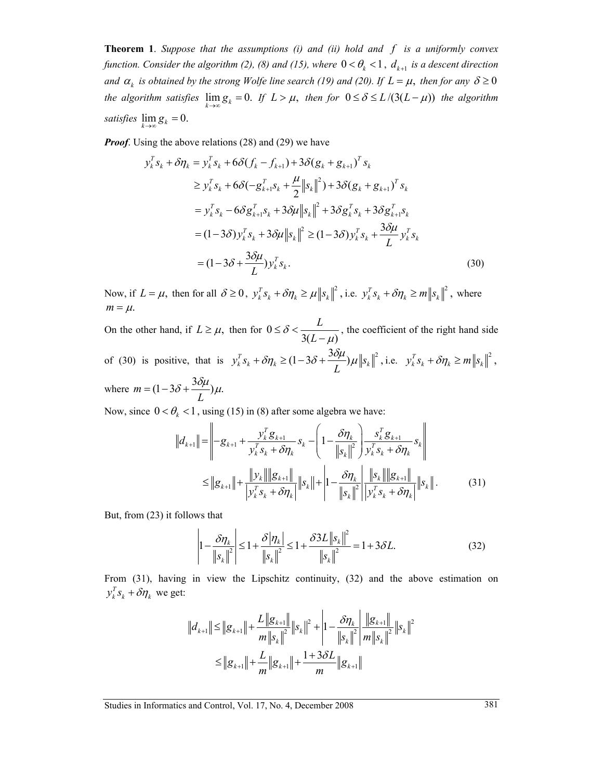**Theorem 1**. *Suppose that the assumptions (i) and (ii) hold and f is a uniformly convex function. Consider the algorithm (2), (8) and (15), where*  $0 < \theta_k < 1$ ,  $d_{k+1}$  *is a descent direction and*  $\alpha_k$  *is obtained by the strong Wolfe line search (19) and (20). If*  $L = \mu$ *, then for any*  $\delta \ge 0$ *the algorithm satisfies*  $\lim_{k\to\infty} g_k = 0$ . If  $L > \mu$ , then for  $0 \le \delta \le L/(3(L-\mu))$  the algorithm *satisfies*  $\lim_{k \to \infty} g_k = 0$ .

*Proof.* Using the above relations (28) and (29) we have

$$
y_k^T s_k + \delta \eta_k = y_k^T s_k + 6 \delta (f_k - f_{k+1}) + 3 \delta (g_k + g_{k+1})^T s_k
$$
  
\n
$$
\ge y_k^T s_k + 6 \delta (-g_{k+1}^T s_k + \frac{\mu}{2} ||s_k||^2) + 3 \delta (g_k + g_{k+1})^T s_k
$$
  
\n
$$
= y_k^T s_k - 6 \delta g_{k+1}^T s_k + 3 \delta \mu ||s_k||^2 + 3 \delta g_k^T s_k + 3 \delta g_{k+1}^T s_k
$$
  
\n
$$
= (1 - 3 \delta) y_k^T s_k + 3 \delta \mu ||s_k||^2 \ge (1 - 3 \delta) y_k^T s_k + \frac{3 \delta \mu}{L} y_k^T s_k
$$
  
\n
$$
= (1 - 3 \delta + \frac{3 \delta \mu}{L}) y_k^T s_k.
$$
 (30)

Now, if  $L = \mu$ , then for all  $\delta \ge 0$ ,  $y_k^T s_k + \delta \eta_k \ge \mu \|s_k\|^2$ , i.e.  $y_k^T s_k + \delta \eta_k \ge m \|s_k\|^2$ , where  $m = \mu$ .

On the other hand, if  $L \geq \mu$ , then for 0  $3(L - \mu)$ *L*  $\delta < \frac{1}{3(L)}$  $\leq \delta < \frac{E}{3(L-\mu)}$ , the coefficient of the right hand side of (30) is positive, that is  $y_k^T s_k + \delta \eta_k \ge (1 - 3\delta + \frac{3\delta\mu}{L})\mu \|s_k\|^2$ , i.e.  $y_k^T s_k + \delta \eta_k \ge m \|s_k\|^2$ , where  $m = (1 - 3\delta + \frac{3\delta\mu}{L})\mu$ .

Now, since  $0 < \theta_k < 1$ , using (15) in (8) after some algebra we have:

$$
||d_{k+1}|| = \left\| -g_{k+1} + \frac{y_k^T g_{k+1}}{y_k^T s_k + \delta \eta_k} s_k - \left( 1 - \frac{\delta \eta_k}{||s_k||^2} \right) \frac{s_k^T g_{k+1}}{y_k^T s_k + \delta \eta_k} s_k \right\|
$$
  

$$
\le ||g_{k+1}|| + \frac{||y_k|| ||g_{k+1}||}{||y_k^T s_k + \delta \eta_k||} ||s_k|| + \left| 1 - \frac{\delta \eta_k}{||s_k||^2} \right| \frac{||s_k|| ||g_{k+1}||}{||y_k^T s_k + \delta \eta_k||} ||s_k||. \tag{31}
$$

But, from (23) it follows that

$$
\left| 1 - \frac{\delta \eta_k}{\left\| s_k \right\|^2} \right| \le 1 + \frac{\delta \left| \eta_k \right|}{\left\| s_k \right\|^2} \le 1 + \frac{\delta 3L \left\| s_k \right\|^2}{\left\| s_k \right\|^2} = 1 + 3\delta L. \tag{32}
$$

From (31), having in view the Lipschitz continuity, (32) and the above estimation on  $y_k^T s_k + \delta \eta_k$  we get:

 $\overline{1}$ 

$$
||d_{k+1}|| \le ||g_{k+1}|| + \frac{L||g_{k+1}||}{m||s_k||^2} ||s_k||^2 + \left|1 - \frac{\delta \eta_k}{||s_k||^2} \right| \frac{||g_{k+1}||}{m||s_k||^2} ||s_k||^2
$$
  

$$
\le ||g_{k+1}|| + \frac{L}{m} ||g_{k+1}|| + \frac{1 + 3\delta L}{m} ||g_{k+1}||
$$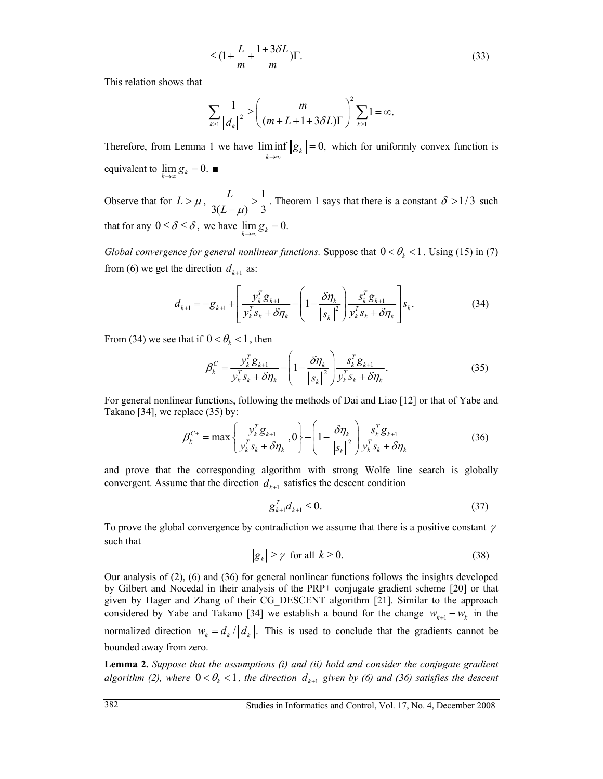$$
\leq (1 + \frac{L}{m} + \frac{1 + 3\delta L}{m})\Gamma.
$$
\n(33)

This relation shows that

$$
\sum_{k\geq 1}\frac{1}{\left\|d_k\right\|^2}\geq \left(\frac{m}{(m+L+1+3\delta L)\Gamma}\right)^2\sum_{k\geq 1}1=\infty.
$$

Therefore, from Lemma 1 we have  $\liminf_{k \to \infty} \|g_k\| = 0$ , *g* →∞  $= 0$ , which for uniformly convex function is equivalent to  $\lim_{k \to \infty} g_k = 0$ .

Observe that for  $L > \mu$ ,  $\frac{L}{2(L)} > \frac{1}{2}$  $3(L - \mu)$  3 *L*  $\frac{L}{L-\mu}$  >  $\frac{1}{3}$ . Theorem 1 says that there is a constant  $\delta > 1/3$  such that for any  $0 \le \delta \le \overline{\delta}$ , we have  $\lim g_k = 0$ .

*Global convergence for general nonlinear functions.* Suppose that  $0 < \theta_k < 1$ . Using (15) in (7) from (6) we get the direction  $d_{k+1}$  as:

$$
d_{k+1} = -g_{k+1} + \left[ \frac{y_k^T g_{k+1}}{y_k^T s_k + \delta \eta_k} - \left( 1 - \frac{\delta \eta_k}{\left\| s_k \right\|^2} \right) \frac{s_k^T g_{k+1}}{y_k^T s_k + \delta \eta_k} \right] s_k. \tag{34}
$$

From (34) we see that if  $0 < \theta_k < 1$ , then

$$
\beta_k^C = \frac{y_k^T g_{k+1}}{y_k^T s_k + \delta \eta_k} - \left(1 - \frac{\delta \eta_k}{\left\|s_k\right\|^2}\right) \frac{s_k^T g_{k+1}}{y_k^T s_k + \delta \eta_k}.
$$
\n(35)

For general nonlinear functions, following the methods of Dai and Liao [12] or that of Yabe and Takano [34], we replace (35) by:

$$
\beta_k^{C+} = \max\left\{\frac{y_k^T g_{k+1}}{y_k^T s_k + \delta \eta_k}, 0\right\} - \left(1 - \frac{\delta \eta_k}{\left\|s_k\right\|^2}\right) \frac{s_k^T g_{k+1}}{y_k^T s_k + \delta \eta_k} \tag{36}
$$

and prove that the corresponding algorithm with strong Wolfe line search is globally convergent. Assume that the direction  $d_{k+1}$  satisfies the descent condition

$$
g_{k+1}^T d_{k+1} \le 0. \tag{37}
$$

To prove the global convergence by contradiction we assume that there is a positive constant  $\gamma$ such that

$$
\|g_k\| \ge \gamma \quad \text{for all} \quad k \ge 0. \tag{38}
$$

Our analysis of (2), (6) and (36) for general nonlinear functions follows the insights developed by Gilbert and Nocedal in their analysis of the PRP+ conjugate gradient scheme [20] or that given by Hager and Zhang of their CG\_DESCENT algorithm [21]. Similar to the approach considered by Yabe and Takano [34] we establish a bound for the change  $w_{k+1} - w_k$  in the normalized direction  $w_k = d_k / ||d_k||$ . This is used to conclude that the gradients cannot be bounded away from zero.

**Lemma 2.** *Suppose that the assumptions (i) and (ii) hold and consider the conjugate gradient algorithm (2), where*  $0 < \theta_k < 1$ , the direction  $d_{k+1}$  given by (6) and (36) satisfies the descent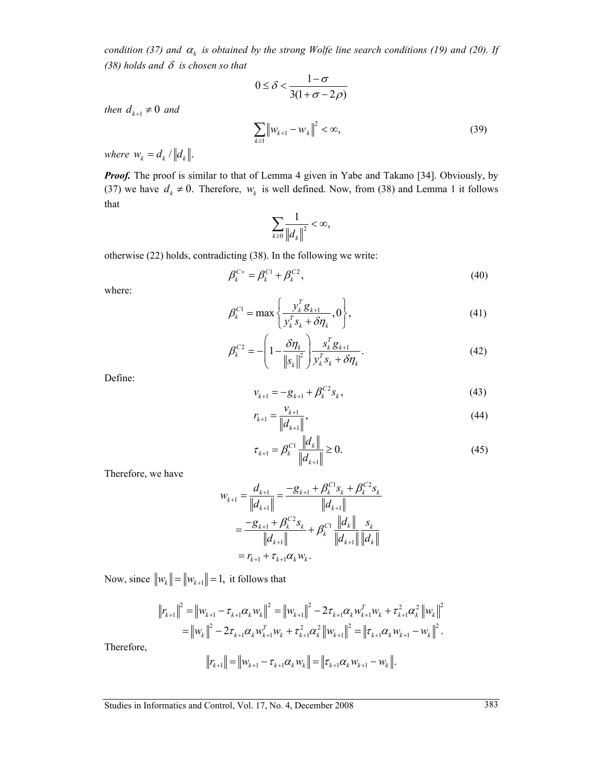*condition (37) and*  $\alpha_k$  *is obtained by the strong Wolfe line search conditions (19) and (20). If (38) holds and* δ *is chosen so that*

$$
0 \le \delta < \frac{1-\sigma}{3(1+\sigma-2\rho)}
$$

*then*  $d_{k+1} \neq 0$  *and* 

$$
\sum_{k\geq 1} \left\| w_{k+1} - w_k \right\|^2 < \infty,\tag{39}
$$

*where*  $w_k = d_k / ||d_k||$ .

*Proof.* The proof is similar to that of Lemma 4 given in Yabe and Takano [34]. Obviously, by (37) we have  $d_k \neq 0$ . Therefore,  $w_k$  is well defined. Now, from (38) and Lemma 1 it follows that

$$
\sum_{k\geq 0}\frac{1}{\left\Vert d_{k}\right\Vert ^{2}}<\infty,
$$

otherwise (22) holds, contradicting (38). In the following we write:

$$
\beta_k^{C+} = \beta_k^{C1} + \beta_k^{C2},
$$
\n(40)

where:

$$
\beta_k^{C1} = \max\left\{\frac{y_k^T g_{k+1}}{y_k^T s_k + \delta \eta_k}, 0\right\},\tag{41}
$$

$$
\beta_k^{C2} = -\left(1 - \frac{\delta \eta_k}{\left\|s_k\right\|^2}\right) \frac{s_k^T g_{k+1}}{y_k^T s_k + \delta \eta_k}.
$$
\n(42)

Define:

$$
v_{k+1} = -g_{k+1} + \beta_k^{C2} s_k, \tag{43}
$$

$$
r_{k+1} = \frac{v_{k+1}}{\|d_{k+1}\|},\tag{44}
$$

$$
\tau_{k+1} = \beta_k^{C1} \frac{\|d_k\|}{\|d_{k+1}\|} \ge 0.
$$
\n(45)

Therefore, we have

$$
w_{k+1} = \frac{d_{k+1}}{\|d_{k+1}\|} = \frac{-g_{k+1} + \beta_k^{C_1} s_k + \beta_k^{C_2} s_k}{\|d_{k+1}\|}
$$
  
= 
$$
\frac{-g_{k+1} + \beta_k^{C_2} s_k}{\|d_{k+1}\|} + \beta_k^{C_1} \frac{\|d_k\|}{\|d_{k+1}\|} \frac{s_k}{\|d_k\|}
$$
  
=  $r_{k+1} + \tau_{k+1} \alpha_k w_k$ .

Now, since  $||w_k|| = ||w_{k+1}|| = 1$ , it follows that

 $\Big\|$ 

$$
\|r_{k+1}\|^2 = \|w_{k+1} - \tau_{k+1}\alpha_k w_k\|^2 = \|w_{k+1}\|^2 - 2\tau_{k+1}\alpha_k w_{k+1}^T w_k + \tau_{k+1}^2 \alpha_k^2 \|w_k\|^2
$$
  
\n
$$
= \|w_k\|^2 - 2\tau_{k+1}\alpha_k w_{k+1}^T w_k + \tau_{k+1}^2 \alpha_k^2 \|w_{k+1}\|^2 = \|\tau_{k+1}\alpha_k w_{k+1} - w_k\|^2.
$$
  
\nTherefore,  
\n
$$
\|r_{k+1}\| = \|w_{k+1} - \tau_{k+1}\alpha_k w_k\| = \|\tau_{k+1}\alpha_k w_{k+1} - w_k\|^2.
$$

Therefore,

$$
\|r_{k+1}\| = \|w_{k+1} - \tau_{k+1}\alpha_k w_k\| = \|\tau_{k+1}\alpha_k w_{k+1} - w_k\|.
$$

Studies in Informatics and Control, Vol. 17, No. 4, December 2008 383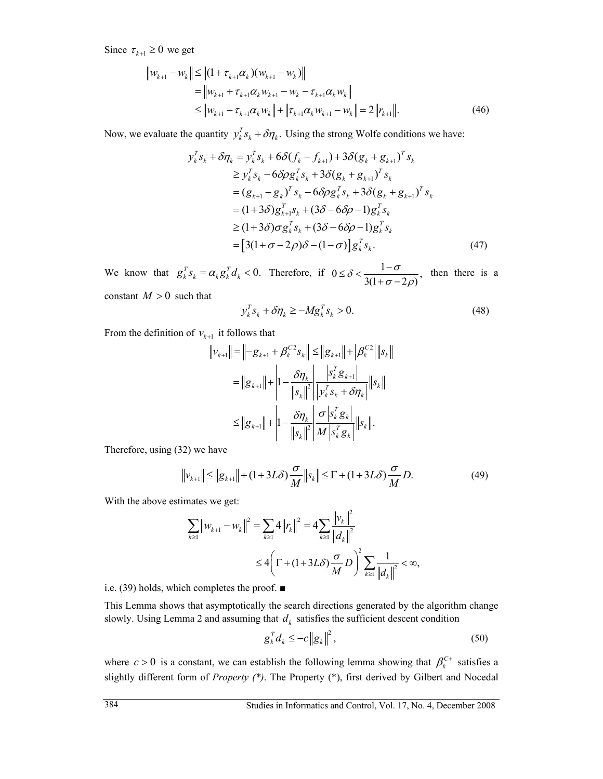Since  $\tau_{k+1} \geq 0$  we get

$$
\|w_{k+1} - w_k\| \le \| (1 + \tau_{k+1} \alpha_k)(w_{k+1} - w_k) \| \n= \|w_{k+1} + \tau_{k+1} \alpha_k w_{k+1} - w_k - \tau_{k+1} \alpha_k w_k \| \n\le \|w_{k+1} - \tau_{k+1} \alpha_k w_k \| + \|\tau_{k+1} \alpha_k w_{k+1} - w_k \| = 2 \|r_{k+1}\|.
$$
\n(46)

Now, we evaluate the quantity  $y_k^T s_k + \delta \eta_k$ . Using the strong Wolfe conditions we have:

$$
y_k^T s_k + \delta \eta_k = y_k^T s_k + 6 \delta (f_k - f_{k+1}) + 3 \delta (g_k + g_{k+1})^T s_k
$$
  
\n
$$
\ge y_k^T s_k - 6 \delta \rho g_k^T s_k + 3 \delta (g_k + g_{k+1})^T s_k
$$
  
\n
$$
= (g_{k+1} - g_k)^T s_k - 6 \delta \rho g_k^T s_k + 3 \delta (g_k + g_{k+1})^T s_k
$$
  
\n
$$
= (1 + 3 \delta) g_{k+1}^T s_k + (3 \delta - 6 \delta \rho - 1) g_k^T s_k
$$
  
\n
$$
\ge (1 + 3 \delta) \sigma g_k^T s_k + (3 \delta - 6 \delta \rho - 1) g_k^T s_k
$$
  
\n
$$
= [3(1 + \sigma - 2\rho) \delta - (1 - \sigma)] g_k^T s_k.
$$
 (47)

We know that  $g_k^T s_k = \alpha_k g_k^T d_k < 0$ . Therefore, if  $0 \le \delta < \frac{1-\sigma}{3(1+\sigma-2\rho)}$ ,  $\sigma$  – 2 $\rho$  $\leq \delta < \frac{1-}{\sqrt{2}}$  $+ \sigma$  then there is a constant  $M > 0$  such that

$$
y_k^T s_k + \delta \eta_k \ge -M g_k^T s_k > 0. \tag{48}
$$

From the definition of  $v_{k+1}$  it follows that

$$
\|v_{k+1}\| = \| -g_{k+1} + \beta_k^{C2} s_k \| \le \|g_{k+1}\| + |\beta_k^{C2}| \|s_k\|
$$
  

$$
= \|g_{k+1}\| + \left|1 - \frac{\delta \eta_k}{\|s_k\|^2} \right| \frac{|s_k^T g_{k+1}|}{|v_k^T s_k + \delta \eta_k|} \|s_k\|
$$
  

$$
\le \|g_{k+1}\| + \left|1 - \frac{\delta \eta_k}{\|s_k\|^2} \frac{\sigma |s_k^T g_k|}{|M| s_k^T g_k} \|s_k\|.
$$

Therefore, using (32) we have

$$
\|v_{k+1}\| \le \|g_{k+1}\| + (1+3L\delta)\frac{\sigma}{M}\|s_k\| \le \Gamma + (1+3L\delta)\frac{\sigma}{M}D. \tag{49}
$$

With the above estimates we get:

$$
\sum_{k\geq 1} ||w_{k+1} - w_k||^2 = \sum_{k\geq 1} 4 ||r_k||^2 = 4 \sum_{k\geq 1} \frac{||v_k||^2}{||d_k||^2}
$$
  

$$
\leq 4 \bigg( \Gamma + (1 + 3L\delta) \frac{\sigma}{M} D \bigg)^2 \sum_{k\geq 1} \frac{1}{||d_k||^2} < \infty,
$$

i.e. (39) holds, which completes the proof. ■

This Lemma shows that asymptotically the search directions generated by the algorithm change slowly. Using Lemma 2 and assuming that  $d_k$  satisfies the sufficient descent condition

$$
\mathbf{g}_k^T \mathbf{d}_k \leq -c \left\| \mathbf{g}_k \right\|^2, \tag{50}
$$

where  $c > 0$  is a constant, we can establish the following lemma showing that  $\beta_k^{C+}$  satisfies a slightly different form of *Property (\*)*. The Property (\*), first derived by Gilbert and Nocedal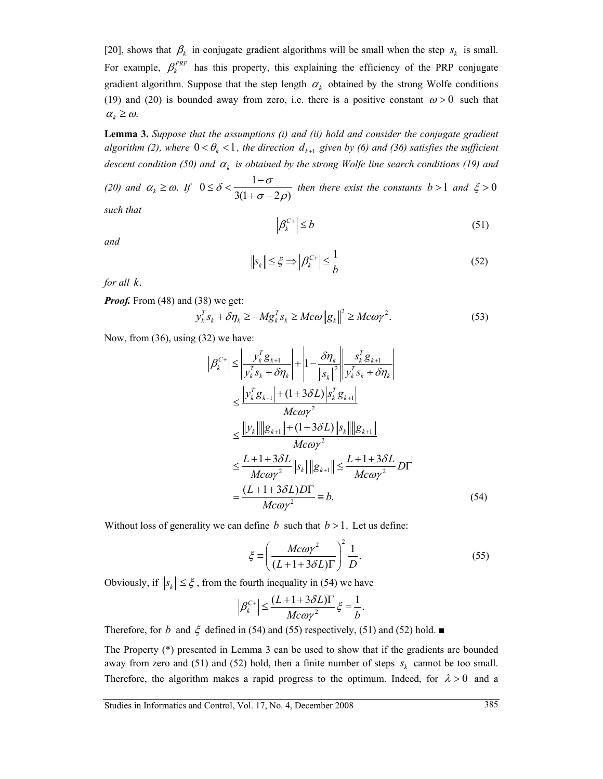[20], shows that  $\beta_k$  in conjugate gradient algorithms will be small when the step  $s_k$  is small. For example,  $\beta_k^{PP}$  has this property, this explaining the efficiency of the PRP conjugate gradient algorithm. Suppose that the step length  $\alpha_k$  obtained by the strong Wolfe conditions (19) and (20) is bounded away from zero, i.e. there is a positive constant  $\omega > 0$  such that  $\alpha_k \geq \omega$ .

**Lemma 3.** *Suppose that the assumptions (i) and (ii) hold and consider the conjugate gradient algorithm (2), where*  $0 < \theta_k < 1$ , the direction  $d_{k+1}$  given by (6) and (36) satisfies the sufficient *descent condition (50) and* <sup>α</sup>*k is obtained by the strong Wolfe line search conditions (19) and* 

*(20)* and  $\alpha_k \ge \omega$ *. If*  $0 \le \delta < \frac{1-\sigma}{3(1+\sigma-2\rho)}$  $\delta$  <  $\frac{1-\sigma}{\sigma}$  $\sigma$  – 2 $\rho$  $\leq \delta < \frac{1-}{\sqrt{2}}$  $+ \sigma$ *then there exist the constants*  $b > 1$  *and*  $\xi > 0$ 

*such that* 

$$
\left|\beta_k^{C+}\right| \le b\tag{51}
$$

*and* 

$$
\|s_k\| \le \xi \Longrightarrow \left|\beta_k^{C+}\right| \le \frac{1}{b} \tag{52}
$$

*for all k*.

*Proof.* From (48) and (38) we get:

$$
y_k^T s_k + \delta \eta_k \ge -M g_k^T s_k \ge M c \omega \|g_k\|^2 \ge M c \omega \gamma^2. \tag{53}
$$

Now, from (36), using (32) we have:

$$
\left| \beta_{k}^{C+} \right| \leq \left| \frac{y_{k}^{T} g_{k+1}}{y_{k}^{T} s_{k} + \delta \eta_{k}} \right| + \left| 1 - \frac{\delta \eta_{k}}{\left| s_{k} \right|^{2}} \right| \frac{s_{k}^{T} g_{k+1}}{y_{k}^{T} s_{k} + \delta \eta_{k}} \right|
$$
  
\n
$$
\leq \frac{\left| y_{k}^{T} g_{k+1} \right| + (1 + 3 \delta L) \left| s_{k}^{T} g_{k+1} \right|}{M c \omega \gamma^{2}}
$$
  
\n
$$
\leq \frac{\left\| y_{k} \right\| \left\| g_{k+1} \right\| + (1 + 3 \delta L) \left\| s_{k} \right\| \left\| g_{k+1} \right\|}{M c \omega \gamma^{2}}
$$
  
\n
$$
\leq \frac{L + 1 + 3 \delta L}{M c \omega \gamma^{2}} \left\| s_{k} \right| \left\| g_{k+1} \right\| \leq \frac{L + 1 + 3 \delta L}{M c \omega \gamma^{2}} DT
$$
  
\n
$$
= \frac{(L + 1 + 3 \delta L) DT}{M c \omega \gamma^{2}} = b.
$$
 (54)

Without loss of generality we can define *b* such that  $b > 1$ . Let us define:

$$
\xi \equiv \left(\frac{Mc\omega\gamma^2}{(L+1+3\delta L)\Gamma}\right)^2 \frac{1}{D}.\tag{55}
$$

Obviously, if  $||s_k|| \leq \xi$ , from the fourth inequality in (54) we have

$$
\left|\beta_{k}^{C+}\right| \leq \frac{(L+1+3\delta L)\Gamma}{Mc\omega\gamma^{2}}\xi = \frac{1}{b}.
$$

Therefore, for *b* and  $\xi$  defined in (54) and (55) respectively, (51) and (52) hold. ■

The Property (\*) presented in Lemma 3 can be used to show that if the gradients are bounded away from zero and (51) and (52) hold, then a finite number of steps  $s_k$  cannot be too small. Therefore, the algorithm makes a rapid progress to the optimum. Indeed, for  $\lambda > 0$  and a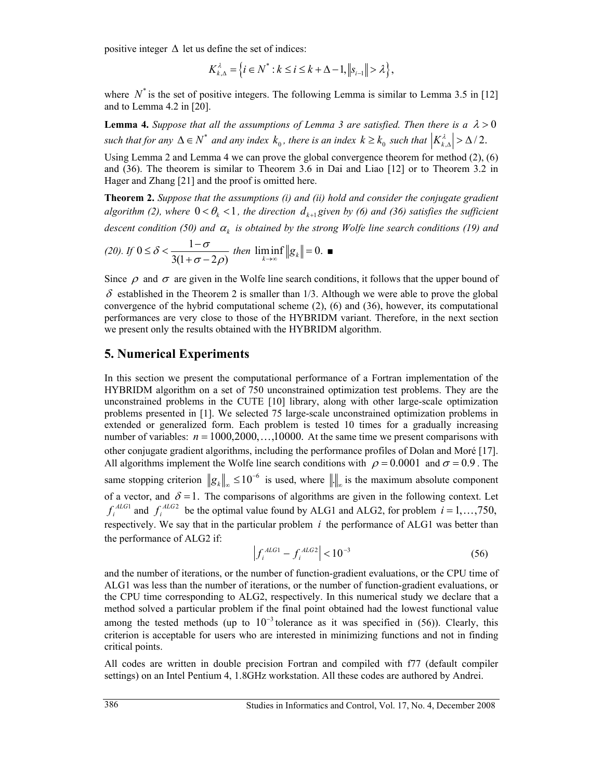positive integer  $\Delta$  let us define the set of indices:

$$
K_{k,\Delta}^{\lambda} = \left\{ i \in \mathbb{N}^* : k \leq i \leq k + \Delta - 1, \left\| s_{i-1} \right\| > \lambda \right\},\
$$

where  $N^*$  is the set of positive integers. The following Lemma is similar to Lemma 3.5 in [12] and to Lemma 4.2 in [20].

**Lemma 4.** *Suppose that all the assumptions of Lemma 3 are satisfied. Then there is a*  $\lambda > 0$ *such that for any*  $\Delta \in N^*$  *and any index*  $k_0$ , *there is an index*  $k \geq k_0$  *such that*  $\left|K_{k,\Delta}^{\lambda}\right| > \Delta/2$ .

Using Lemma 2 and Lemma 4 we can prove the global convergence theorem for method (2), (6) and (36). The theorem is similar to Theorem 3.6 in Dai and Liao [12] or to Theorem 3.2 in Hager and Zhang [21] and the proof is omitted here.

**Theorem 2.** *Suppose that the assumptions (i) and (ii) hold and consider the conjugate gradient algorithm (2), where*  $0 < \theta_k < 1$ , the direction  $d_{k+1}$  given by (6) and (36) satisfies the sufficient

*descent condition (50) and* <sup>α</sup>*k is obtained by the strong Wolfe line search conditions (19) and* 

(20). If 
$$
0 \le \delta < \frac{1-\sigma}{3(1+\sigma-2\rho)}
$$
 then  $\liminf_{k\to\infty} ||g_k|| = 0$ .

Since  $\rho$  and  $\sigma$  are given in the Wolfe line search conditions, it follows that the upper bound of  $\delta$  established in the Theorem 2 is smaller than 1/3. Although we were able to prove the global convergence of the hybrid computational scheme  $(2)$ ,  $(6)$  and  $(36)$ , however, its computational performances are very close to those of the HYBRIDM variant. Therefore, in the next section we present only the results obtained with the HYBRIDM algorithm.

#### **5. Numerical Experiments**

In this section we present the computational performance of a Fortran implementation of the HYBRIDM algorithm on a set of 750 unconstrained optimization test problems. They are the unconstrained problems in the CUTE [10] library, along with other large-scale optimization problems presented in [1]. We selected 75 large-scale unconstrained optimization problems in extended or generalized form. Each problem is tested 10 times for a gradually increasing number of variables:  $n = 1000, 2000, \ldots, 10000$ . At the same time we present comparisons with other conjugate gradient algorithms, including the performance profiles of Dolan and Moré [17]. All algorithms implement the Wolfe line search conditions with  $\rho = 0.0001$  and  $\sigma = 0.9$ . The same stopping criterion  $||g_k||_{\infty} \le 10^{-6}$  is used, where  $||\cdot||_{\infty}$  is the maximum absolute component of a vector, and  $\delta = 1$ . The comparisons of algorithms are given in the following context. Let  $f_i^{ALG1}$  and  $f_i^{ALG2}$  be the optimal value found by ALG1 and ALG2, for problem  $i = 1, ..., 750$ , respectively. We say that in the particular problem *i* the performance of ALG1 was better than the performance of ALG2 if:

$$
\left| f_i^{\text{ALG1}} - f_i^{\text{ALG2}} \right| < 10^{-3} \tag{56}
$$

and the number of iterations, or the number of function-gradient evaluations, or the CPU time of ALG1 was less than the number of iterations, or the number of function-gradient evaluations, or the CPU time corresponding to ALG2, respectively. In this numerical study we declare that a method solved a particular problem if the final point obtained had the lowest functional value among the tested methods (up to  $10^{-3}$  tolerance as it was specified in (56)). Clearly, this criterion is acceptable for users who are interested in minimizing functions and not in finding critical points.

All codes are written in double precision Fortran and compiled with f77 (default compiler settings) on an Intel Pentium 4, 1.8GHz workstation. All these codes are authored by Andrei.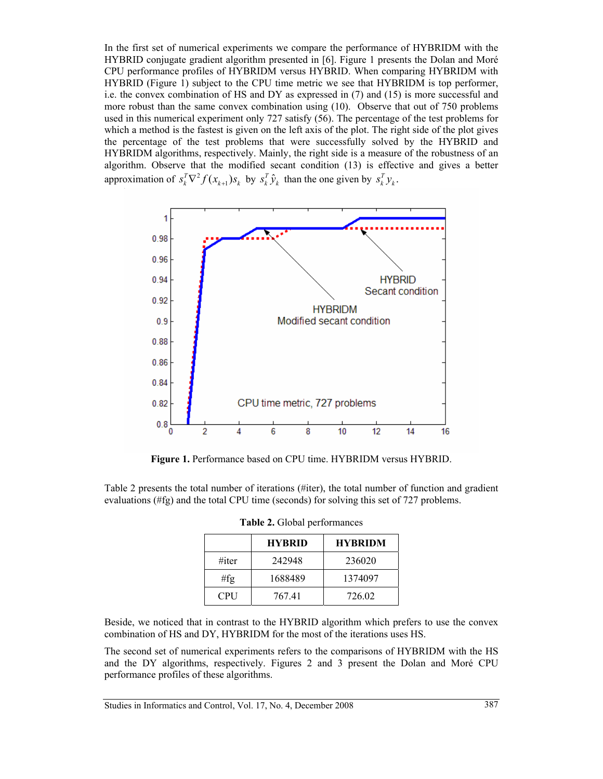In the first set of numerical experiments we compare the performance of HYBRIDM with the HYBRID conjugate gradient algorithm presented in [6]. Figure 1 presents the Dolan and Moré CPU performance profiles of HYBRIDM versus HYBRID. When comparing HYBRIDM with HYBRID (Figure 1) subject to the CPU time metric we see that HYBRIDM is top performer, i.e. the convex combination of HS and DY as expressed in (7) and (15) is more successful and more robust than the same convex combination using (10). Observe that out of 750 problems used in this numerical experiment only 727 satisfy (56). The percentage of the test problems for which a method is the fastest is given on the left axis of the plot. The right side of the plot gives the percentage of the test problems that were successfully solved by the HYBRID and HYBRIDM algorithms, respectively. Mainly, the right side is a measure of the robustness of an algorithm. Observe that the modified secant condition (13) is effective and gives a better approximation of  $s_k^T \nabla^2 f(x_{k+1}) s_k$  by  $s_k^T \hat{y}_k$  than the one given by  $s_k^T y_k$ .



**Figure 1.** Performance based on CPU time. HYBRIDM versus HYBRID.

Table 2 presents the total number of iterations (#iter), the total number of function and gradient evaluations (#fg) and the total CPU time (seconds) for solving this set of 727 problems.

|            | <b>HYBRID</b> | <b>HYBRIDM</b> |
|------------|---------------|----------------|
| #iter      | 242948        | 236020         |
| #fg        | 1688489       | 1374097        |
| <b>CPU</b> | 767.41        | 726.02         |

| Table 2. Global performances |
|------------------------------|
|------------------------------|

Beside, we noticed that in contrast to the HYBRID algorithm which prefers to use the convex combination of HS and DY, HYBRIDM for the most of the iterations uses HS.

The second set of numerical experiments refers to the comparisons of HYBRIDM with the HS and the DY algorithms, respectively. Figures 2 and 3 present the Dolan and Moré CPU performance profiles of these algorithms.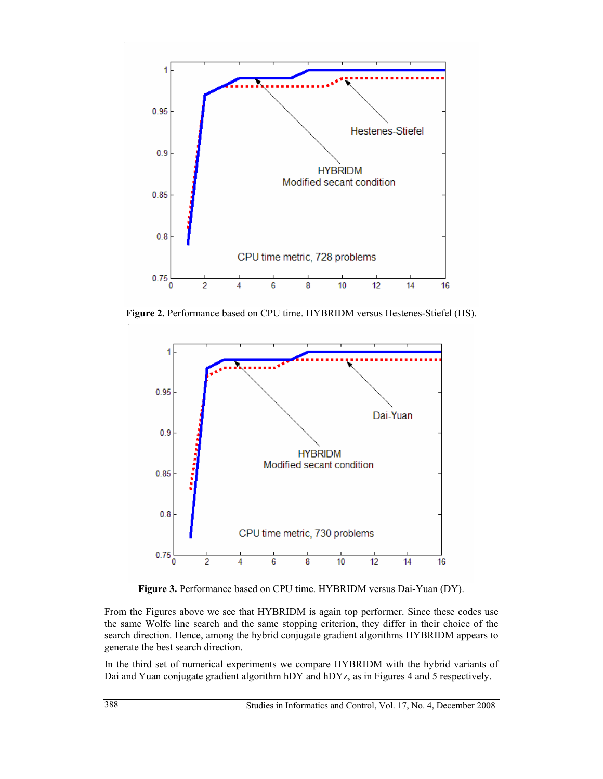

**Figure 2.** Performance based on CPU time. HYBRIDM versus Hestenes-Stiefel (HS).



**Figure 3.** Performance based on CPU time. HYBRIDM versus Dai-Yuan (DY).

From the Figures above we see that HYBRIDM is again top performer. Since these codes use the same Wolfe line search and the same stopping criterion, they differ in their choice of the search direction. Hence, among the hybrid conjugate gradient algorithms HYBRIDM appears to generate the best search direction.

In the third set of numerical experiments we compare HYBRIDM with the hybrid variants of Dai and Yuan conjugate gradient algorithm hDY and hDYz, as in Figures 4 and 5 respectively.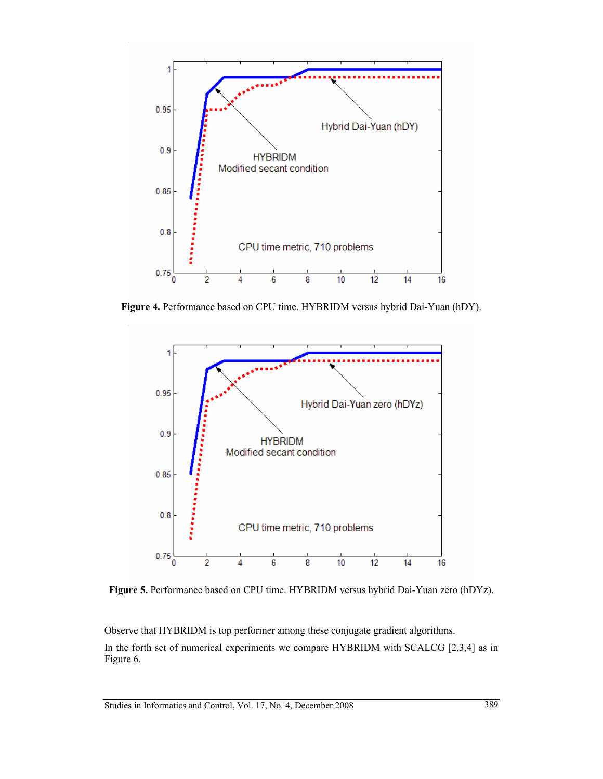

**Figure 4.** Performance based on CPU time. HYBRIDM versus hybrid Dai-Yuan (hDY).



**Figure 5.** Performance based on CPU time. HYBRIDM versus hybrid Dai-Yuan zero (hDYz).

Observe that HYBRIDM is top performer among these conjugate gradient algorithms. In the forth set of numerical experiments we compare HYBRIDM with SCALCG [2,3,4] as in Figure 6.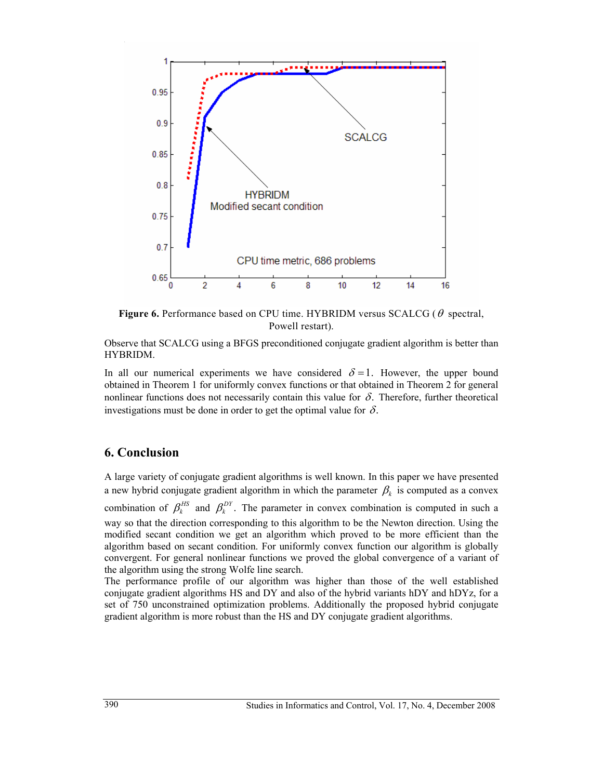

**Figure 6.** Performance based on CPU time. HYBRIDM versus SCALCG (θ spectral, Powell restart).

Observe that SCALCG using a BFGS preconditioned conjugate gradient algorithm is better than HYBRIDM.

In all our numerical experiments we have considered  $\delta = 1$ . However, the upper bound obtained in Theorem 1 for uniformly convex functions or that obtained in Theorem 2 for general nonlinear functions does not necessarily contain this value for  $\delta$ . Therefore, further theoretical investigations must be done in order to get the optimal value for  $\delta$ .

## **6. Conclusion**

A large variety of conjugate gradient algorithms is well known. In this paper we have presented a new hybrid conjugate gradient algorithm in which the parameter  $\beta_k$  is computed as a convex combination of  $\beta_k^{HS}$  and  $\beta_k^{DY}$ . The parameter in convex combination is computed in such a way so that the direction corresponding to this algorithm to be the Newton direction. Using the modified secant condition we get an algorithm which proved to be more efficient than the algorithm based on secant condition. For uniformly convex function our algorithm is globally convergent. For general nonlinear functions we proved the global convergence of a variant of the algorithm using the strong Wolfe line search.

The performance profile of our algorithm was higher than those of the well established conjugate gradient algorithms HS and DY and also of the hybrid variants hDY and hDYz, for a set of 750 unconstrained optimization problems. Additionally the proposed hybrid conjugate gradient algorithm is more robust than the HS and DY conjugate gradient algorithms.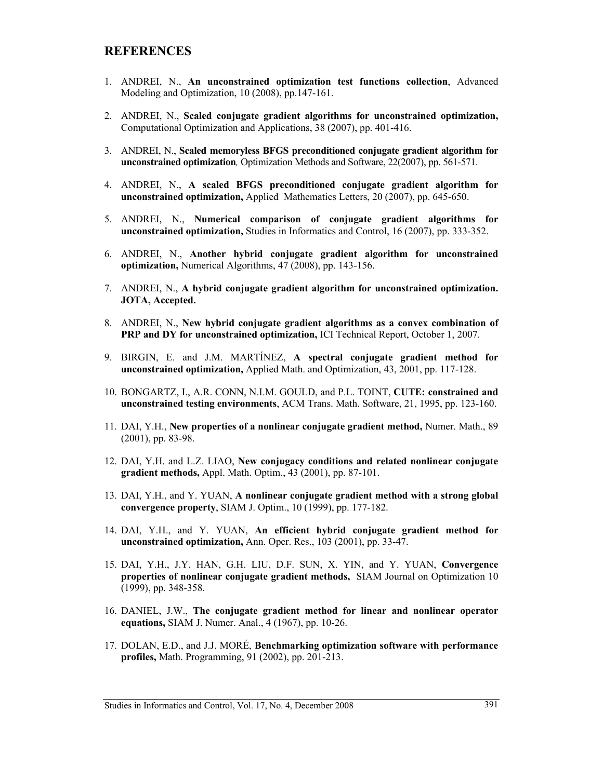### **REFERENCES**

- 1. ANDREI, N., **An unconstrained optimization test functions collection**, Advanced Modeling and Optimization, 10 (2008), pp.147-161.
- 2. ANDREI, N., **Scaled conjugate gradient algorithms for unconstrained optimization,**  Computational Optimization and Applications, 38 (2007), pp. 401-416.
- 3. ANDREI, N., **Scaled memoryless BFGS preconditioned conjugate gradient algorithm for unconstrained optimization***,* Optimization Methods and Software, 22(2007), pp. 561-571.
- 4. ANDREI, N., **A scaled BFGS preconditioned conjugate gradient algorithm for unconstrained optimization,** Applied Mathematics Letters, 20 (2007), pp. 645-650.
- 5. ANDREI, N., **Numerical comparison of conjugate gradient algorithms for unconstrained optimization,** Studies in Informatics and Control, 16 (2007), pp. 333-352.
- 6. ANDREI, N., **Another hybrid conjugate gradient algorithm for unconstrained optimization,** Numerical Algorithms, 47 (2008), pp. 143-156.
- 7. ANDREI, N., **A hybrid conjugate gradient algorithm for unconstrained optimization. JOTA, Accepted.**
- 8. ANDREI, N., **New hybrid conjugate gradient algorithms as a convex combination of PRP and DY for unconstrained optimization,** ICI Technical Report, October 1, 2007.
- 9. BIRGIN, E. and J.M. MARTÍNEZ, **A spectral conjugate gradient method for unconstrained optimization,** Applied Math. and Optimization, 43, 2001, pp. 117-128.
- 10. BONGARTZ, I., A.R. CONN, N.I.M. GOULD, and P.L. TOINT, **CUTE: constrained and unconstrained testing environments**, ACM Trans. Math. Software, 21, 1995, pp. 123-160.
- 11. DAI, Y.H., **New properties of a nonlinear conjugate gradient method,** Numer. Math., 89 (2001), pp. 83-98.
- 12. DAI, Y.H. and L.Z. LIAO, **New conjugacy conditions and related nonlinear conjugate gradient methods,** Appl. Math. Optim., 43 (2001), pp. 87-101.
- 13. DAI, Y.H., and Y. YUAN, **A nonlinear conjugate gradient method with a strong global convergence property**, SIAM J. Optim., 10 (1999), pp. 177-182.
- 14. DAI, Y.H., and Y. YUAN, **An efficient hybrid conjugate gradient method for unconstrained optimization,** Ann. Oper. Res., 103 (2001), pp. 33-47.
- 15. DAI, Y.H., J.Y. HAN, G.H. LIU, D.F. SUN, X. YIN, and Y. YUAN, **Convergence properties of nonlinear conjugate gradient methods,** SIAM Journal on Optimization 10 (1999), pp. 348-358.
- 16. DANIEL, J.W., **The conjugate gradient method for linear and nonlinear operator equations,** SIAM J. Numer. Anal., 4 (1967), pp. 10-26.
- 17. DOLAN, E.D., and J.J. MORÉ, **Benchmarking optimization software with performance profiles,** Math. Programming, 91 (2002), pp. 201-213.